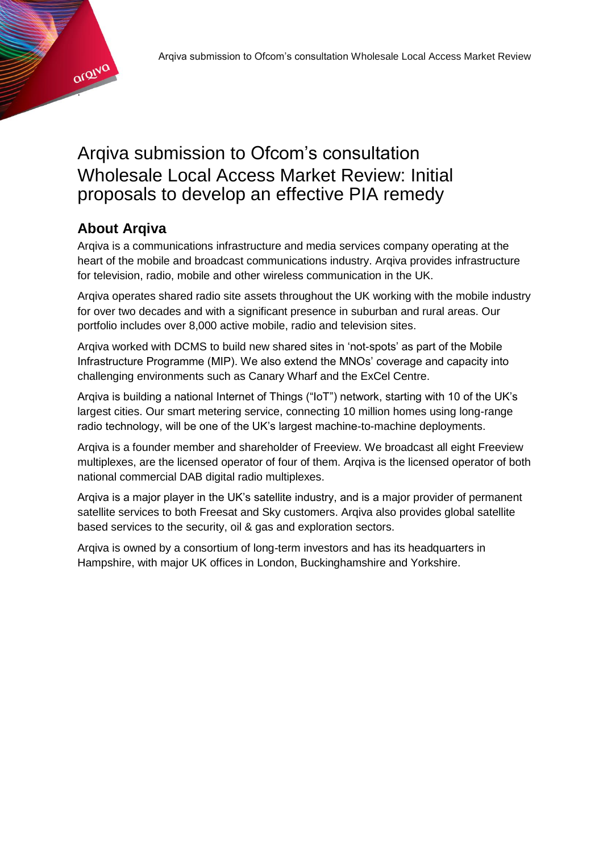

# Arqiva submission to Ofcom's consultation Wholesale Local Access Market Review: Initial proposals to develop an effective PIA remedy

# **About Arqiva**

Arqiva is a communications infrastructure and media services company operating at the heart of the mobile and broadcast communications industry. Arqiva provides infrastructure for television, radio, mobile and other wireless communication in the UK.

Arqiva operates shared radio site assets throughout the UK working with the mobile industry for over two decades and with a significant presence in suburban and rural areas. Our portfolio includes over 8,000 active mobile, radio and television sites.

Arqiva worked with DCMS to build new shared sites in 'not-spots' as part of the Mobile Infrastructure Programme (MIP). We also extend the MNOs' coverage and capacity into challenging environments such as Canary Wharf and the ExCel Centre.

Arqiva is building a national Internet of Things ("IoT") network, starting with 10 of the UK's largest cities. Our smart metering service, connecting 10 million homes using long-range radio technology, will be one of the UK's largest machine-to-machine deployments.

Arqiva is a founder member and shareholder of Freeview. We broadcast all eight Freeview multiplexes, are the licensed operator of four of them. Arqiva is the licensed operator of both national commercial DAB digital radio multiplexes.

Arqiva is a major player in the UK's satellite industry, and is a major provider of permanent satellite services to both Freesat and Sky customers. Arqiva also provides global satellite based services to the security, oil & gas and exploration sectors.

Arqiva is owned by a consortium of long-term investors and has its headquarters in Hampshire, with major UK offices in London, Buckinghamshire and Yorkshire.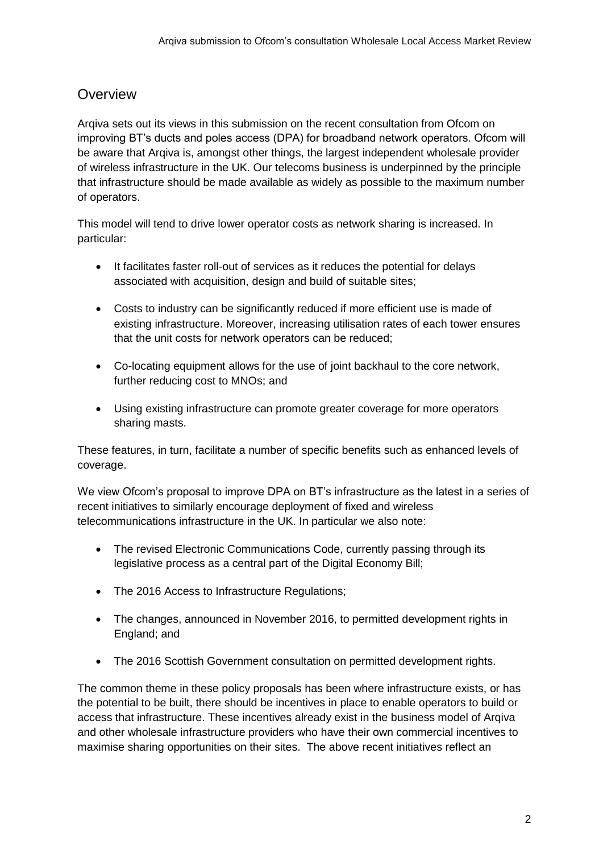#### **Overview**

Arqiva sets out its views in this submission on the recent consultation from Ofcom on improving BT's ducts and poles access (DPA) for broadband network operators. Ofcom will be aware that Arqiva is, amongst other things, the largest independent wholesale provider of wireless infrastructure in the UK. Our telecoms business is underpinned by the principle that infrastructure should be made available as widely as possible to the maximum number of operators.

This model will tend to drive lower operator costs as network sharing is increased. In particular:

- It facilitates faster roll-out of services as it reduces the potential for delays associated with acquisition, design and build of suitable sites;
- Costs to industry can be significantly reduced if more efficient use is made of existing infrastructure. Moreover, increasing utilisation rates of each tower ensures that the unit costs for network operators can be reduced;
- Co-locating equipment allows for the use of joint backhaul to the core network, further reducing cost to MNOs; and
- Using existing infrastructure can promote greater coverage for more operators sharing masts.

These features, in turn, facilitate a number of specific benefits such as enhanced levels of coverage.

We view Ofcom's proposal to improve DPA on BT's infrastructure as the latest in a series of recent initiatives to similarly encourage deployment of fixed and wireless telecommunications infrastructure in the UK. In particular we also note:

- The revised Electronic Communications Code, currently passing through its legislative process as a central part of the Digital Economy Bill;
- The 2016 Access to Infrastructure Regulations;
- The changes, announced in November 2016, to permitted development rights in England; and
- The 2016 Scottish Government consultation on permitted development rights.

The common theme in these policy proposals has been where infrastructure exists, or has the potential to be built, there should be incentives in place to enable operators to build or access that infrastructure. These incentives already exist in the business model of Arqiva and other wholesale infrastructure providers who have their own commercial incentives to maximise sharing opportunities on their sites. The above recent initiatives reflect an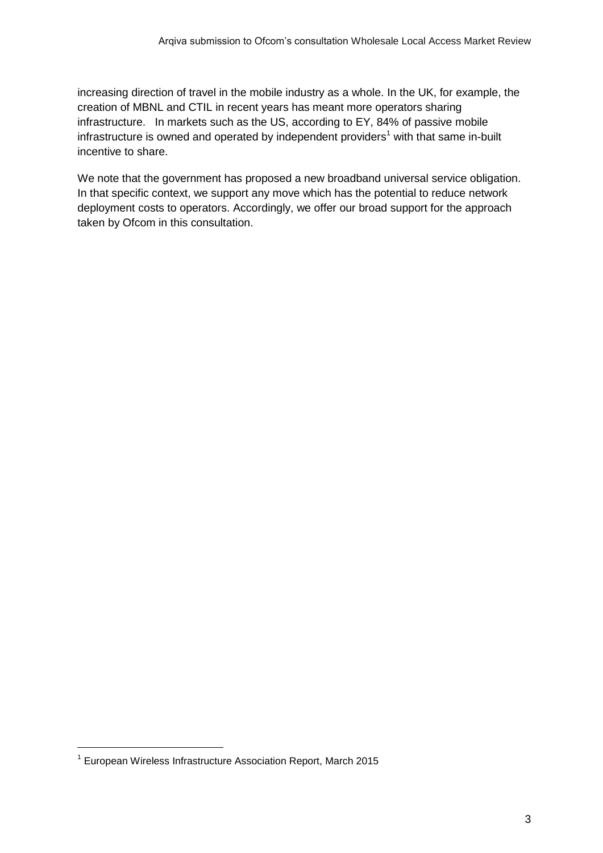increasing direction of travel in the mobile industry as a whole. In the UK, for example, the creation of MBNL and CTIL in recent years has meant more operators sharing infrastructure. In markets such as the US, according to EY, 84% of passive mobile infrastructure is owned and operated by independent providers<sup>1</sup> with that same in-built incentive to share.

We note that the government has proposed a new broadband universal service obligation. In that specific context, we support any move which has the potential to reduce network deployment costs to operators. Accordingly, we offer our broad support for the approach taken by Ofcom in this consultation.

 $\overline{a}$ 

<sup>&</sup>lt;sup>1</sup> European Wireless Infrastructure Association Report, March 2015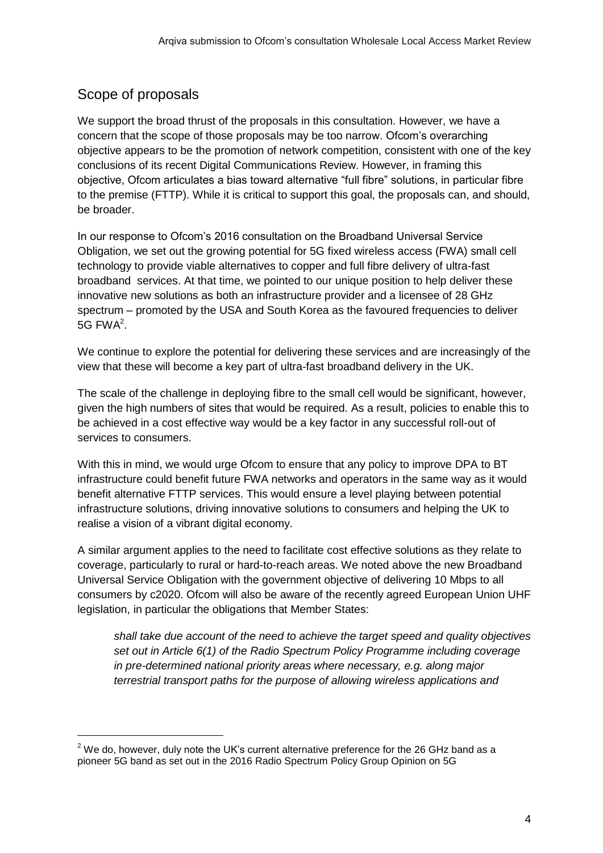# Scope of proposals

We support the broad thrust of the proposals in this consultation. However, we have a concern that the scope of those proposals may be too narrow. Ofcom's overarching objective appears to be the promotion of network competition, consistent with one of the key conclusions of its recent Digital Communications Review. However, in framing this objective, Ofcom articulates a bias toward alternative "full fibre" solutions, in particular fibre to the premise (FTTP). While it is critical to support this goal, the proposals can, and should, be broader.

In our response to Ofcom's 2016 consultation on the Broadband Universal Service Obligation, we set out the growing potential for 5G fixed wireless access (FWA) small cell technology to provide viable alternatives to copper and full fibre delivery of ultra-fast broadband services. At that time, we pointed to our unique position to help deliver these innovative new solutions as both an infrastructure provider and a licensee of 28 GHz spectrum – promoted by the USA and South Korea as the favoured frequencies to deliver 5G FWA $2$ .

We continue to explore the potential for delivering these services and are increasingly of the view that these will become a key part of ultra-fast broadband delivery in the UK.

The scale of the challenge in deploying fibre to the small cell would be significant, however, given the high numbers of sites that would be required. As a result, policies to enable this to be achieved in a cost effective way would be a key factor in any successful roll-out of services to consumers.

With this in mind, we would urge Ofcom to ensure that any policy to improve DPA to BT infrastructure could benefit future FWA networks and operators in the same way as it would benefit alternative FTTP services. This would ensure a level playing between potential infrastructure solutions, driving innovative solutions to consumers and helping the UK to realise a vision of a vibrant digital economy.

A similar argument applies to the need to facilitate cost effective solutions as they relate to coverage, particularly to rural or hard-to-reach areas. We noted above the new Broadband Universal Service Obligation with the government objective of delivering 10 Mbps to all consumers by c2020. Ofcom will also be aware of the recently agreed European Union UHF legislation, in particular the obligations that Member States:

*shall take due account of the need to achieve the target speed and quality objectives set out in Article 6(1) of the Radio Spectrum Policy Programme including coverage in pre-determined national priority areas where necessary, e.g. along major terrestrial transport paths for the purpose of allowing wireless applications and* 

 $2$  We do, however, duly note the UK's current alternative preference for the 26 GHz band as a pioneer 5G band as set out in the 2016 Radio Spectrum Policy Group Opinion on 5G